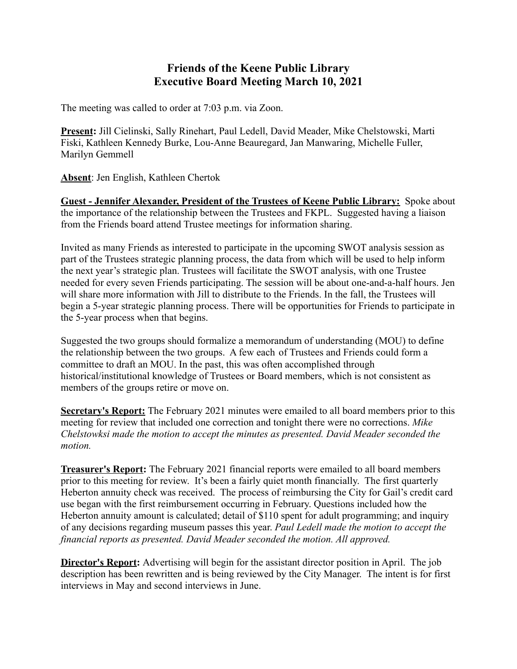## **Friends of the Keene Public Library Executive Board Meeting March 10, 2021**

The meeting was called to order at 7:03 p.m. via Zoon.

**Present:** Jill Cielinski, Sally Rinehart, Paul Ledell, David Meader, Mike Chelstowski, Marti Fiski, Kathleen Kennedy Burke, Lou-Anne Beauregard, Jan Manwaring, Michelle Fuller, Marilyn Gemmell

**Absent**: Jen English, Kathleen Chertok

**Guest - Jennifer Alexander, President of the Trustees of Keene Public Library:** Spoke about the importance of the relationship between the Trustees and FKPL. Suggested having a liaison from the Friends board attend Trustee meetings for information sharing.

Invited as many Friends as interested to participate in the upcoming SWOT analysis session as part of the Trustees strategic planning process, the data from which will be used to help inform the next year's strategic plan. Trustees will facilitate the SWOT analysis, with one Trustee needed for every seven Friends participating. The session will be about one-and-a-half hours. Jen will share more information with Jill to distribute to the Friends. In the fall, the Trustees will begin a 5-year strategic planning process. There will be opportunities for Friends to participate in the 5-year process when that begins.

Suggested the two groups should formalize a memorandum of understanding (MOU) to define the relationship between the two groups. A few each of Trustees and Friends could form a committee to draft an MOU. In the past, this was often accomplished through historical/institutional knowledge of Trustees or Board members, which is not consistent as members of the groups retire or move on.

**Secretary's Report:** The February 2021 minutes were emailed to all board members prior to this meeting for review that included one correction and tonight there were no corrections. *Mike Chelstowksi made the motion to accept the minutes as presented. David Meader seconded the motion.*

**Treasurer's Report:** The February 2021 financial reports were emailed to all board members prior to this meeting for review. It's been a fairly quiet month financially. The first quarterly Heberton annuity check was received. The process of reimbursing the City for Gail's credit card use began with the first reimbursement occurring in February. Questions included how the Heberton annuity amount is calculated; detail of \$110 spent for adult programming; and inquiry of any decisions regarding museum passes this year. *Paul Ledell made the motion to accept the financial reports as presented. David Meader seconded the motion. All approved.*

**Director's Report:** Advertising will begin for the assistant director position in April. The job description has been rewritten and is being reviewed by the City Manager. The intent is for first interviews in May and second interviews in June.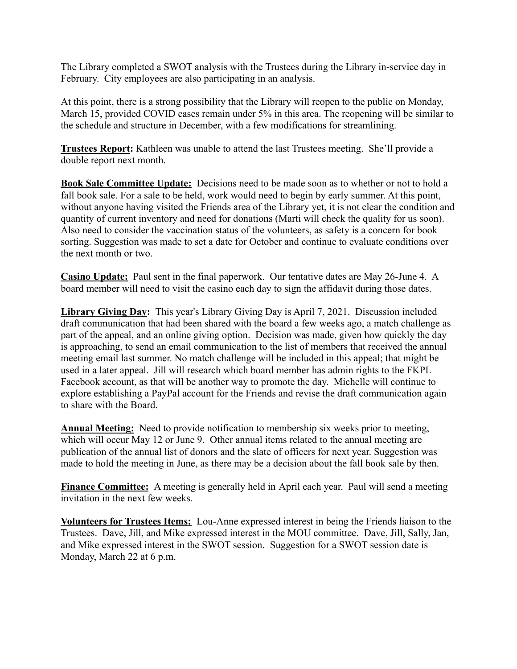The Library completed a SWOT analysis with the Trustees during the Library in-service day in February. City employees are also participating in an analysis.

At this point, there is a strong possibility that the Library will reopen to the public on Monday, March 15, provided COVID cases remain under 5% in this area. The reopening will be similar to the schedule and structure in December, with a few modifications for streamlining.

**Trustees Report:** Kathleen was unable to attend the last Trustees meeting. She'll provide a double report next month.

**Book Sale Committee Update:** Decisions need to be made soon as to whether or not to hold a fall book sale. For a sale to be held, work would need to begin by early summer. At this point, without anyone having visited the Friends area of the Library yet, it is not clear the condition and quantity of current inventory and need for donations (Marti will check the quality for us soon). Also need to consider the vaccination status of the volunteers, as safety is a concern for book sorting. Suggestion was made to set a date for October and continue to evaluate conditions over the next month or two.

**Casino Update:** Paul sent in the final paperwork. Our tentative dates are May 26-June 4. A board member will need to visit the casino each day to sign the affidavit during those dates.

**Library Giving Day:** This year's Library Giving Day is April 7, 2021. Discussion included draft communication that had been shared with the board a few weeks ago, a match challenge as part of the appeal, and an online giving option. Decision was made, given how quickly the day is approaching, to send an email communication to the list of members that received the annual meeting email last summer. No match challenge will be included in this appeal; that might be used in a later appeal. Jill will research which board member has admin rights to the FKPL Facebook account, as that will be another way to promote the day. Michelle will continue to explore establishing a PayPal account for the Friends and revise the draft communication again to share with the Board.

**Annual Meeting:** Need to provide notification to membership six weeks prior to meeting, which will occur May 12 or June 9. Other annual items related to the annual meeting are publication of the annual list of donors and the slate of officers for next year. Suggestion was made to hold the meeting in June, as there may be a decision about the fall book sale by then.

**Finance Committee:** A meeting is generally held in April each year. Paul will send a meeting invitation in the next few weeks.

**Volunteers for Trustees Items:** Lou-Anne expressed interest in being the Friends liaison to the Trustees. Dave, Jill, and Mike expressed interest in the MOU committee. Dave, Jill, Sally, Jan, and Mike expressed interest in the SWOT session. Suggestion for a SWOT session date is Monday, March 22 at 6 p.m.